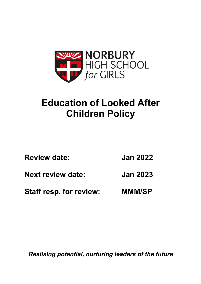

# **Education of Looked After Children Policy**

| <b>Review date:</b>      | <b>Jan 2022</b> |
|--------------------------|-----------------|
| <b>Next review date:</b> | <b>Jan 2023</b> |

**Staff resp. for review: MMM/SP**

*Realising potential, nurturing leaders of the future*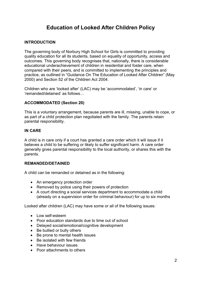## **Education of Looked After Children Policy**

## **INTRODUCTION**

The governing body of Norbury High School for Girls is committed to providing quality education for all its students, based on equality of opportunity, access and outcomes. This governing body recognises that, nationally, there is considerable educational underachievement of children in residential and foster care, when compared with their peers, and is committed to implementing the principles and practice, as outlined in "Guidance On The Education of Looked After Children" (May 2000) and Section 52 of the Children Act 2004.

Children who are 'looked after' (LAC) may be 'accommodated', 'in care' or 'remanded/detained' as follows…

## **ACCOMMODATED (Section 20)**

This is a voluntary arrangement, because parents are ill, missing, unable to cope, or as part of a child protection plan negotiated with the family. The parents retain parental responsibility.

## **IN CARE**

A child is in care only if a court has granted a care order which it will issue if it believes a child to be suffering or likely to suffer significant harm. A care order generally gives parental responsibility to the local authority, or shares this with the parents.

#### **REMANDED/DETAINED**

A child can be remanded or detained as in the following:

- An emergency protection order
- Removed by police using their powers of protection
- A court directing a social services department to accommodate a child (already on a supervision order for criminal behaviour) for up to six months

Looked after children (LAC) may have some or all of the following issues:

- Low self-esteem
- Poor education standards due to time out of school
- Delayed social/emotional/cognitive development
- Be bullied or bully others
- Be prone to mental health issues
- Be isolated with few friends
- Have behaviour issues
- Poor attachments to others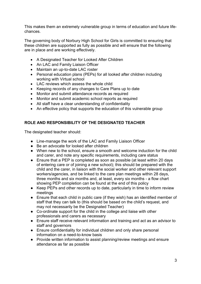This makes them an extremely vulnerable group in terms of education and future lifechances.

The governing body of Norbury High School for Girls is committed to ensuring that these children are supported as fully as possible and will ensure that the following are in place and are working effectively.

- A Designated Teacher for Looked After Children
- An LAC and Family Liaison Officer
- Maintain an up-to-date LAC roster
- Personal education plans (PEPs) for all looked after children including working with Virtual school
- LAC reviews which assess the whole child
- Keeping records of any changes to Care Plans up to date
- Monitor and submit attendance records as required
- Monitor and submit academic school reports as required
- All staff have a clear understanding of confidentiality
- An effective policy that supports the education of this vulnerable group

## **ROLE AND RESPONSIBILITY OF THE DESIGNATED TEACHER**

The designated teacher should:

- Line-manage the work of the LAC and Family Liaison Officer
- Be an advocate for looked after children
- When new to the school, ensure a smooth and welcome induction for the child and carer, and note any specific requirements, including care status
- Ensure that a PEP is completed as soon as possible (at least within 20 days of entering care or of joining a new school); this should be prepared with the child and the carer, in liaison with the social worker and other relevant support workers/agencies, and be linked to the care plan meetings within 28 days, three months and six months and, at least, every six months - a flow chart showing PEP completion can be found at the end of this policy
- Keep PEPs and other records up to date, particularly in time to inform review meetings
- Ensure that each child in public care (if they wish) has an identified member of staff that they can talk to (this should be based on the child's request, and may not necessarily be the Designated Teacher)
- Co-ordinate support for the child in the college and liaise with other professionals and carers as necessary
- Ensure staff receive relevant information and training and act as an advisor to staff and governors
- Ensure confidentiality for individual children and only share personal information on a need-to-know basis
- Provide written information to assist planning/review meetings and ensure attendance as far as possible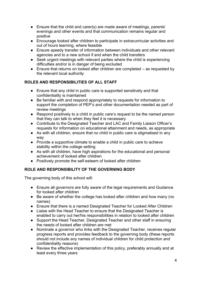- Ensure that the child and carer(s) are made aware of meetings, parents' evenings and other events and that communication remains regular and positive
- Encourage looked after children to participate in extracurricular activities and out of hours learning, where feasible
- Ensure speedy transfer of information between individuals and other relevant agencies and to a new school if and when the child transfers
- Seek urgent meetings with relevant parties where the child is experiencing difficulties and/or is in danger of being excluded
- Ensure that returns on looked after children are completed as requested by the relevant local authority

## **ROLES AND RESPONSIBILITIES OF ALL STAFF**

- Ensure that any child in public care is supported sensitively and that confidentiality is maintained
- Be familiar with and respond appropriately to requests for information to support the completion of PEP's and other documentation needed as part of review meetings
- Respond positively to a child in public care's request to be the named person that they can talk to when they feel it is necessary
- Contribute to the Designated Teacher and LAC and Family Liaison Officer's requests for information on educational attainment and needs, as appropriate
- As with all children, ensure that no child in public care is stigmatised in any way
- Provide a supportive climate to enable a child in public care to achieve stability within the college setting
- As with all children, have high aspirations for the educational and personal achievement of looked after children
- Positively promote the self-esteem of looked after children

## **ROLE AND RESPONSIBILITY OF THE GOVERNING BODY**

The governing body of this school will:

- Ensure all governors are fully aware of the legal requirements and Guidance for looked after children
- Be aware of whether the college has looked after children and how many (no names)
- Ensure that there is a named Designated Teacher for Looked After Children
- Liaise with the Head Teacher to ensure that the Designated Teacher is enabled to carry out her/his responsibilities in relation to looked after children
- Support the Head Teacher, Designated Teacher and other staff in ensuring the needs of looked after children are met
- Nominate a governor who links with the Designated Teacher, receives regular progress reports and provides feedback to the governing body (these reports should not include any names of individual children for child protection and confidentiality reasons)
- Review the effective implementation of this policy, preferably annually and at least every three years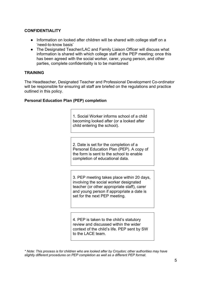## **CONFIDENTIALITY**

- Information on looked after children will be shared with college staff on a 'need-to-know basis'
- The Designated Teacher/LAC and Family Liaison Officer will discuss what information is shared with which college staff at the PEP meeting; once this has been agreed with the social worker, carer, young person, and other parties, complete confidentiality is to be maintained

### **TRAINING**

The Headteacher, Designated Teacher and Professional Development Co-ordinator will be responsible for ensuring all staff are briefed on the regulations and practice outlined in this policy.

### **Personal Education Plan (PEP) completion**

1. Social Worker informs school of a child becoming looked after (or a looked after child entering the school).

2. Date is set for the completion of a Personal Education Plan (PEP). A copy of the form is sent to the school to enable completion of educational data.

3. PEP meeting takes place within 20 days, involving the social worker designated teacher (or other appropriate staff), carer and young person if appropriate a date is set for the next PEP meeting.

4. PEP is taken to the child's statutory review and discussed within the wider context of the child's life. PEP sent by SW to the LACE team.

*\* Note: This process is for children who are looked after by Croydon; other authorities may have slightly different procedures on PEP completion as well as a different PEP format.*